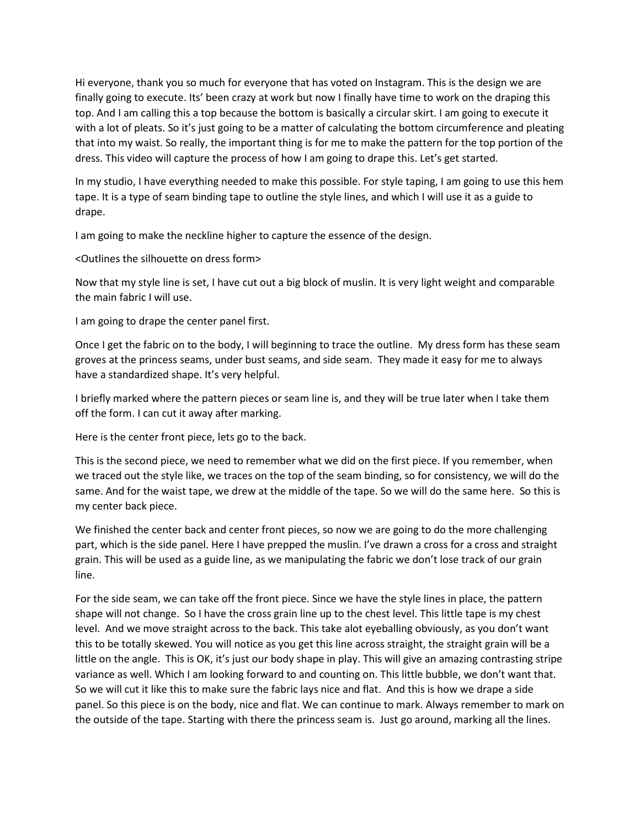Hi everyone, thank you so much for everyone that has voted on Instagram. This is the design we are finally going to execute. Its' been crazy at work but now I finally have time to work on the draping this top. And I am calling this a top because the bottom is basically a circular skirt. I am going to execute it with a lot of pleats. So it's just going to be a matter of calculating the bottom circumference and pleating that into my waist. So really, the important thing is for me to make the pattern for the top portion of the dress. This video will capture the process of how I am going to drape this. Let's get started.

In my studio, I have everything needed to make this possible. For style taping, I am going to use this hem tape. It is a type of seam binding tape to outline the style lines, and which I will use it as a guide to drape.

I am going to make the neckline higher to capture the essence of the design.

<Outlines the silhouette on dress form>

Now that my style line is set, I have cut out a big block of muslin. It is very light weight and comparable the main fabric I will use.

I am going to drape the center panel first.

Once I get the fabric on to the body, I will beginning to trace the outline. My dress form has these seam groves at the princess seams, under bust seams, and side seam. They made it easy for me to always have a standardized shape. It's very helpful.

I briefly marked where the pattern pieces or seam line is, and they will be true later when I take them off the form. I can cut it away after marking.

Here is the center front piece, lets go to the back.

This is the second piece, we need to remember what we did on the first piece. If you remember, when we traced out the style like, we traces on the top of the seam binding, so for consistency, we will do the same. And for the waist tape, we drew at the middle of the tape. So we will do the same here. So this is my center back piece.

We finished the center back and center front pieces, so now we are going to do the more challenging part, which is the side panel. Here I have prepped the muslin. I've drawn a cross for a cross and straight grain. This will be used as a guide line, as we manipulating the fabric we don't lose track of our grain line.

For the side seam, we can take off the front piece. Since we have the style lines in place, the pattern shape will not change. So I have the cross grain line up to the chest level. This little tape is my chest level. And we move straight across to the back. This take alot eyeballing obviously, as you don't want this to be totally skewed. You will notice as you get this line across straight, the straight grain will be a little on the angle. This is OK, it's just our body shape in play. This will give an amazing contrasting stripe variance as well. Which I am looking forward to and counting on. This little bubble, we don't want that. So we will cut it like this to make sure the fabric lays nice and flat. And this is how we drape a side panel. So this piece is on the body, nice and flat. We can continue to mark. Always remember to mark on the outside of the tape. Starting with there the princess seam is. Just go around, marking all the lines.